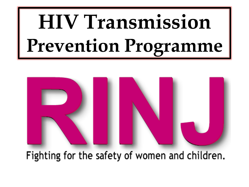## **HIV Transmission Prevention Programme**



Fighting for the safety of women and children.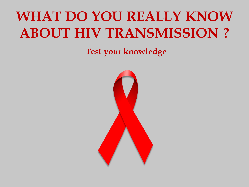#### **WHAT DO YOU REALLY KNOW ABOUT HIV TRANSMISSION ?**

**Test your knowledge**

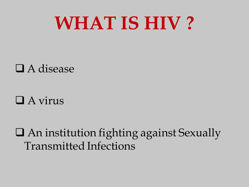#### **WHAT IS HIV ?**

#### A disease

#### $\Box$  A virus

 An institution fighting against Sexually Transmitted Infections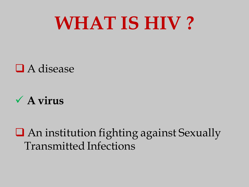#### **WHAT IS HIV ?**

#### ■ A disease

#### **A virus**

 An institution fighting against Sexually Transmitted Infections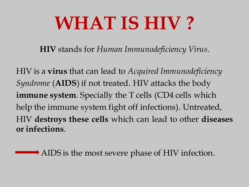### **WHAT IS HIV ?**

**HIV** stands for *Human Immunodeficiency Virus*.

HIV is a **virus** that can lead to *Acquired Immunodeficiency Syndrome* (**AIDS**) if not treated. HIV attacks the body **immune system**. Specially the T cells (CD4 cells which help the immune system fight off infections). Untreated, HIV **destroys these cells** which can lead to other **diseases or infections**.

AIDS is the most severe phase of HIV infection.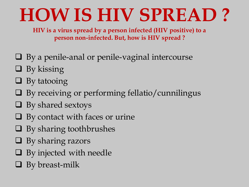**HIV is a virus spread by a person infected (HIV positive) to a person non-infected. But, how is HIV spread ?**

- $\Box$  By a penile-anal or penile-vaginal intercourse
- $\Box$  By kissing
- $\Box$  By tatooing
- $\Box$  By receiving or performing fellatio/cunnilingus
- $\Box$  By shared sextoys
- $\Box$  By contact with faces or urine
- $\Box$  By sharing toothbrushes
- $\Box$  By sharing razors
- **Q** By injected with needle
- $\Box$  By breast-milk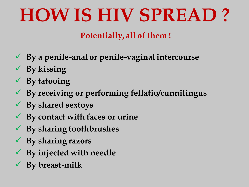#### **Potentially, all of them !**

- **By a penile-anal or penile-vaginal intercourse**
- **By kissing**
- **By tatooing**
- **By receiving or performing fellatio/cunnilingus**
- **By shared sextoys**
- **By contact with faces or urine**
- **By sharing toothbrushes**
- **By sharing razors**
- **By injected with needle**
- **By breast-milk**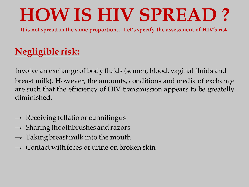**It is not spread in the same proportion… Let's specify the assessment of HIV's risk**

#### **Negligible risk:**

Involve an exchange of body fluids (semen, blood, vaginal fluids and breast milk). However, the amounts, conditions and media of exchange are such that the efficiency of HIV transmission appears to be greatelly diminished.

- $\rightarrow$  Receiving fellatio or cunnilingus
- $\rightarrow$  Sharing thoothbrushes and razors
- $\rightarrow$  Taking breast milk into the mouth
- $\rightarrow$  Contact with feces or urine on broken skin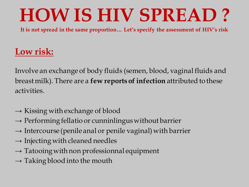**It is not spread in the same proportion… Let's specify the assessment of HIV's risk**

#### **Low risk:**

Involve an exchange of body fluids (semen, blood, vaginal fluids and breast milk). There are a **few reports of infection** attributed to these activities.

- $\rightarrow$  Kissing with exchange of blood
- $\rightarrow$  Performing fellatio or cunninlingus without barrier
- $\rightarrow$  Intercourse (penile anal or penile vaginal) with barrier
- $\rightarrow$  Injecting with cleaned needles
- $\rightarrow$  Tatooing with non professionnal equipment
- $\rightarrow$  Taking blood into the mouth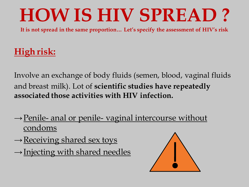**It is not spread in the same proportion… Let's specify the assessment of HIV's risk**

#### **High risk:**

Involve an exchange of body fluids (semen, blood, vaginal fluids and breast milk). Lot of **scientific studies have repeatedly associated those activities with HIV infection.** 

- $\rightarrow$  Penile- anal or penile- vaginal intercourse without condoms
- $\rightarrow$  Receiving shared sex toys
- $\rightarrow$ Injecting with shared needles

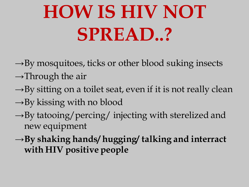## **HOW IS HIV NOT SPREAD..?**

- $\rightarrow$ By mosquitoes, ticks or other blood suking insects
- $\rightarrow$ Through the air
- $\rightarrow$ By sitting on a toilet seat, even if it is not really clean
- $\rightarrow$ By kissing with no blood
- $\rightarrow$ By tatooing/percing/ injecting with sterelized and new equipment
- →**By shaking hands/ hugging/ talking and interract with HIV positive people**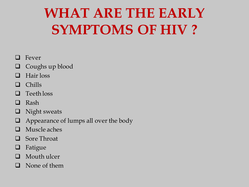#### **WHAT ARE THE EARLY SYMPTOMS OF HIV ?**

#### Fever

- Coughs up blood
- $\Box$  Hair loss
- $\Box$  Chills
- **Q** Teeth loss
- **Q** Rash
- $\Box$  Night sweats
- $\Box$  Appearance of lumps all over the body
- Muscle aches
- **Q** Sore Throat
- **Q** Fatigue
- **Q** Mouth ulcer
- **Q** None of them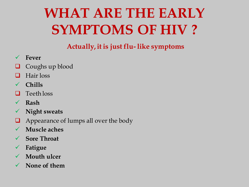#### **WHAT ARE THE EARLY SYMPTOMS OF HIV ?**

**Actually, it is just flu- like symptoms**

- **Fever**
- Coughs up blood
- $\Box$  Hair loss
- **Chills**
- **Q** Teeth loss
- **Rash**
- **Night sweats**
- Appearance of lumps all over the body
- **Muscle aches**
- **Sore Throat**
- **Fatigue**
- **Mouth ulcer**
- **None of them**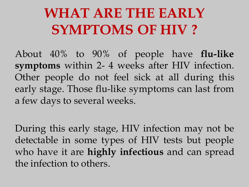#### **WHAT ARE THE EARLY SYMPTOMS OF HIV ?**

About 40% to 90% of people have **flu-like symptoms** within 2- 4 weeks after HIV infection. Other people do not feel sick at all during this early stage. Those flu-like symptoms can last from a few days to several weeks.

During this early stage, HIV infection may not be detectable in some types of HIV tests but people who have it are **highly infectious** and can spread the infection to others.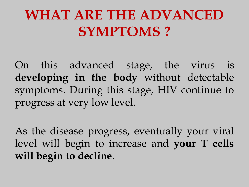#### **WHAT ARE THE ADVANCED SYMPTOMS ?**

On this advanced stage, the virus is **developing in the body** without detectable symptoms. During this stage, HIV continue to progress at very low level.

As the disease progress, eventually your viral level will begin to increase and **your T cells will begin to decline**.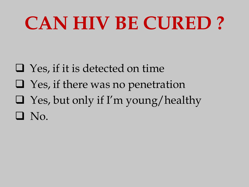- $\Box$  Yes, if it is detected on time
- $\Box$  Yes, if there was no penetration
- $\Box$  Yes, but only if I'm young/healthy
- $\Box$  No.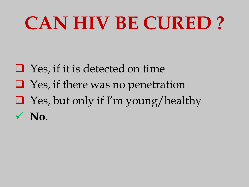- $\Box$  Yes, if it is detected on time
- $\Box$  Yes, if there was no penetration
- $\Box$  Yes, but only if I'm young/healthy  $\sqrt{N_0}$ .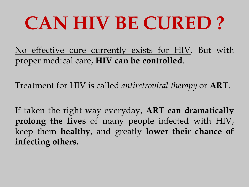No effective cure currently exists for HIV. But with proper medical care, **HIV can be controlled**.

Treatment for HIV is called *antiretroviral therapy* or **ART**.

If taken the right way everyday, **ART can dramatically prolong the lives** of many people infected with HIV, keep them **healthy**, and greatly **lower their chance of infecting others.**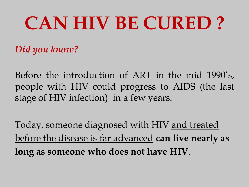*Did you know?* 

Before the introduction of ART in the mid 1990's, people with HIV could progress to AIDS (the last stage of HIV infection) in a few years.

Today, someone diagnosed with HIV and treated before the disease is far advanced **can live nearly as long as someone who does not have HIV**.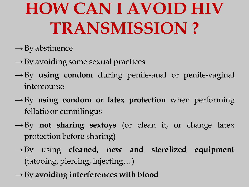#### **HOW CAN I AVOID HIV TRANSMISSION ?**

- $\rightarrow$  By abstinence
- $\rightarrow$  By avoiding some sexual practices
- →By **using condom** during penile-anal or penile-vaginal intercourse
- →By **using condom or latex protection** when performing fellatio or cunnilingus
- $\rightarrow$  By **not sharing sextoys** (or clean it, or change latex protection before sharing)
- →By using **cleaned, new and sterelized equipment** (tatooing, piercing, injecting…)
- →By **avoiding interferences with blood**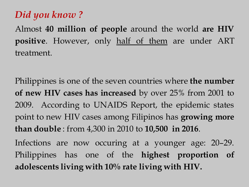#### *Did you know ?*

Almost **40 million of people** around the world **are HIV positive**. However, only half of them are under ART treatment.

Philippines is one of the seven countries where **the number of new HIV cases has increased** by over 25% from 2001 to 2009. According to UNAIDS Report, the epidemic states point to new HIV cases among Filipinos has **growing more than double** : from 4,300 in 2010 to **10,500 in 2016**.

Infections are now occuring at a younger age: 20–29. Philippines has one of the **highest proportion of adolescents living with 10% rate living with HIV.**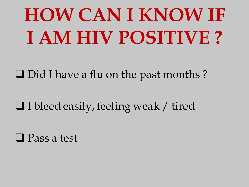## **HOW CAN I KNOW IF I AM HIV POSITIVE ?**

 $\Box$  Did I have a flu on the past months?

 $\Box$  I bleed easily, feeling weak / tired

Pass a test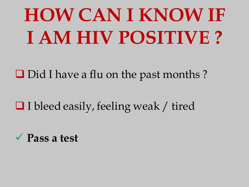## **HOW CAN I KNOW IF I AM HIV POSITIVE ?**

Did I have a flu on the past months?

 $\Box$  I bleed easily, feeling weak / tired

**Pass a test**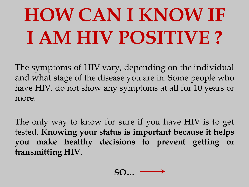## **HOW CAN I KNOW IF I AM HIV POSITIVE ?**

The symptoms of HIV vary, depending on the individual and what stage of the disease you are in. Some people who have HIV, do not show any symptoms at all for 10 years or more.

The only way to know for sure if you have HIV is to get tested. **Knowing your status is important because it helps you make healthy decisions to prevent getting or transmitting HIV**.